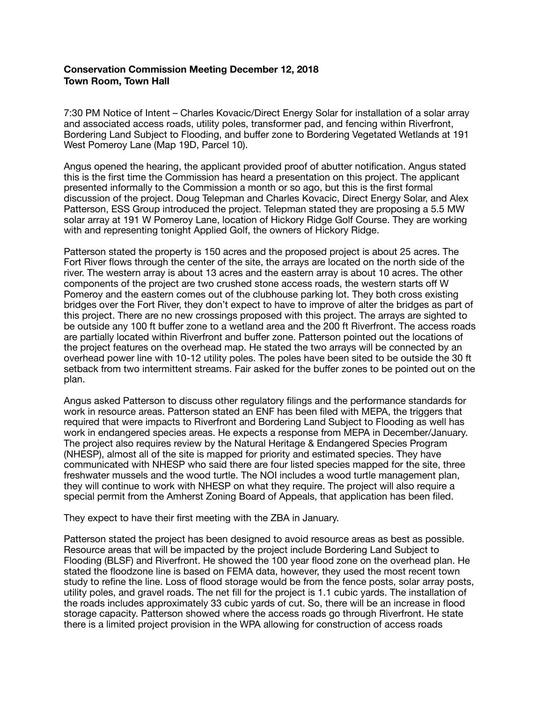# **Conservation Commission Meeting December 12, 2018 Town Room, Town Hall**

7:30 PM Notice of Intent – Charles Kovacic/Direct Energy Solar for installation of a solar array and associated access roads, utility poles, transformer pad, and fencing within Riverfront, Bordering Land Subject to Flooding, and buffer zone to Bordering Vegetated Wetlands at 191 West Pomeroy Lane (Map 19D, Parcel 10).

Angus opened the hearing, the applicant provided proof of abutter notification. Angus stated this is the first time the Commission has heard a presentation on this project. The applicant presented informally to the Commission a month or so ago, but this is the first formal discussion of the project. Doug Telepman and Charles Kovacic, Direct Energy Solar, and Alex Patterson, ESS Group introduced the project. Telepman stated they are proposing a 5.5 MW solar array at 191 W Pomeroy Lane, location of Hickory Ridge Golf Course. They are working with and representing tonight Applied Golf, the owners of Hickory Ridge.

Patterson stated the property is 150 acres and the proposed project is about 25 acres. The Fort River flows through the center of the site, the arrays are located on the north side of the river. The western array is about 13 acres and the eastern array is about 10 acres. The other components of the project are two crushed stone access roads, the western starts off W Pomeroy and the eastern comes out of the clubhouse parking lot. They both cross existing bridges over the Fort River, they don't expect to have to improve of alter the bridges as part of this project. There are no new crossings proposed with this project. The arrays are sighted to be outside any 100 ft buffer zone to a wetland area and the 200 ft Riverfront. The access roads are partially located within Riverfront and buffer zone. Patterson pointed out the locations of the project features on the overhead map. He stated the two arrays will be connected by an overhead power line with 10-12 utility poles. The poles have been sited to be outside the 30 ft setback from two intermittent streams. Fair asked for the buffer zones to be pointed out on the plan.

Angus asked Patterson to discuss other regulatory filings and the performance standards for work in resource areas. Patterson stated an ENF has been filed with MEPA, the triggers that required that were impacts to Riverfront and Bordering Land Subject to Flooding as well has work in endangered species areas. He expects a response from MEPA in December/January. The project also requires review by the Natural Heritage & Endangered Species Program (NHESP), almost all of the site is mapped for priority and estimated species. They have communicated with NHESP who said there are four listed species mapped for the site, three freshwater mussels and the wood turtle. The NOI includes a wood turtle management plan, they will continue to work with NHESP on what they require. The project will also require a special permit from the Amherst Zoning Board of Appeals, that application has been filed.

They expect to have their first meeting with the ZBA in January.

Patterson stated the project has been designed to avoid resource areas as best as possible. Resource areas that will be impacted by the project include Bordering Land Subject to Flooding (BLSF) and Riverfront. He showed the 100 year flood zone on the overhead plan. He stated the floodzone line is based on FEMA data, however, they used the most recent town study to refine the line. Loss of flood storage would be from the fence posts, solar array posts, utility poles, and gravel roads. The net fill for the project is 1.1 cubic yards. The installation of the roads includes approximately 33 cubic yards of cut. So, there will be an increase in flood storage capacity. Patterson showed where the access roads go through Riverfront. He state there is a limited project provision in the WPA allowing for construction of access roads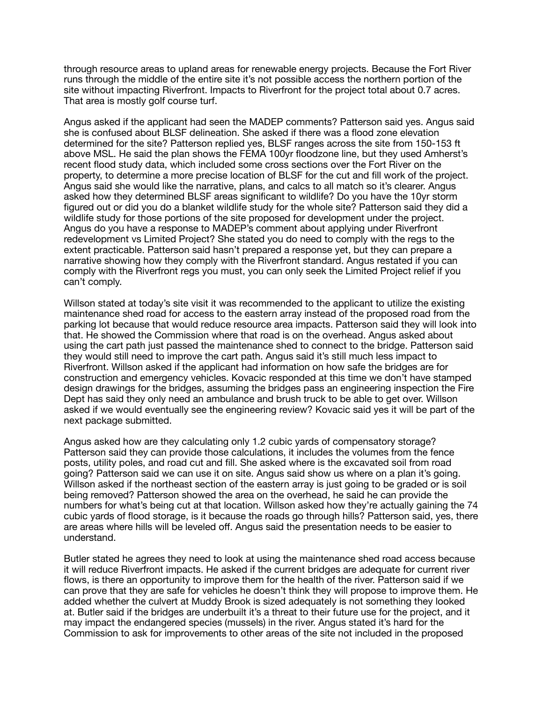through resource areas to upland areas for renewable energy projects. Because the Fort River runs through the middle of the entire site it's not possible access the northern portion of the site without impacting Riverfront. Impacts to Riverfront for the project total about 0.7 acres. That area is mostly golf course turf.

Angus asked if the applicant had seen the MADEP comments? Patterson said yes. Angus said she is confused about BLSF delineation. She asked if there was a flood zone elevation determined for the site? Patterson replied yes, BLSF ranges across the site from 150-153 ft above MSL. He said the plan shows the FEMA 100yr floodzone line, but they used Amherst's recent flood study data, which included some cross sections over the Fort River on the property, to determine a more precise location of BLSF for the cut and fill work of the project. Angus said she would like the narrative, plans, and calcs to all match so it's clearer. Angus asked how they determined BLSF areas significant to wildlife? Do you have the 10yr storm figured out or did you do a blanket wildlife study for the whole site? Patterson said they did a wildlife study for those portions of the site proposed for development under the project. Angus do you have a response to MADEP's comment about applying under Riverfront redevelopment vs Limited Project? She stated you do need to comply with the regs to the extent practicable. Patterson said hasn't prepared a response yet, but they can prepare a narrative showing how they comply with the Riverfront standard. Angus restated if you can comply with the Riverfront regs you must, you can only seek the Limited Project relief if you can't comply.

Willson stated at today's site visit it was recommended to the applicant to utilize the existing maintenance shed road for access to the eastern array instead of the proposed road from the parking lot because that would reduce resource area impacts. Patterson said they will look into that. He showed the Commission where that road is on the overhead. Angus asked about using the cart path just passed the maintenance shed to connect to the bridge. Patterson said they would still need to improve the cart path. Angus said it's still much less impact to Riverfront. Willson asked if the applicant had information on how safe the bridges are for construction and emergency vehicles. Kovacic responded at this time we don't have stamped design drawings for the bridges, assuming the bridges pass an engineering inspection the Fire Dept has said they only need an ambulance and brush truck to be able to get over. Willson asked if we would eventually see the engineering review? Kovacic said yes it will be part of the next package submitted.

Angus asked how are they calculating only 1.2 cubic yards of compensatory storage? Patterson said they can provide those calculations, it includes the volumes from the fence posts, utility poles, and road cut and fill. She asked where is the excavated soil from road going? Patterson said we can use it on site. Angus said show us where on a plan it's going. Willson asked if the northeast section of the eastern array is just going to be graded or is soil being removed? Patterson showed the area on the overhead, he said he can provide the numbers for what's being cut at that location. Willson asked how they're actually gaining the 74 cubic yards of flood storage, is it because the roads go through hills? Patterson said, yes, there are areas where hills will be leveled off. Angus said the presentation needs to be easier to understand.

Butler stated he agrees they need to look at using the maintenance shed road access because it will reduce Riverfront impacts. He asked if the current bridges are adequate for current river flows, is there an opportunity to improve them for the health of the river. Patterson said if we can prove that they are safe for vehicles he doesn't think they will propose to improve them. He added whether the culvert at Muddy Brook is sized adequately is not something they looked at. Butler said if the bridges are underbuilt it's a threat to their future use for the project, and it may impact the endangered species (mussels) in the river. Angus stated it's hard for the Commission to ask for improvements to other areas of the site not included in the proposed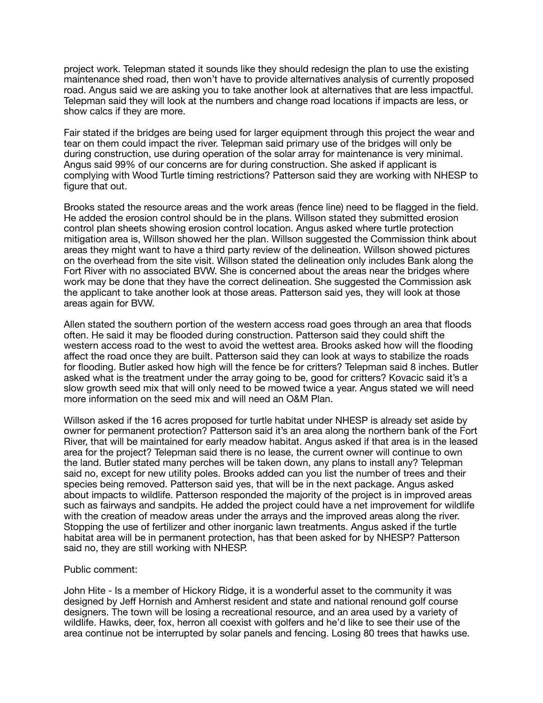project work. Telepman stated it sounds like they should redesign the plan to use the existing maintenance shed road, then won't have to provide alternatives analysis of currently proposed road. Angus said we are asking you to take another look at alternatives that are less impactful. Telepman said they will look at the numbers and change road locations if impacts are less, or show calcs if they are more.

Fair stated if the bridges are being used for larger equipment through this project the wear and tear on them could impact the river. Telepman said primary use of the bridges will only be during construction, use during operation of the solar array for maintenance is very minimal. Angus said 99% of our concerns are for during construction. She asked if applicant is complying with Wood Turtle timing restrictions? Patterson said they are working with NHESP to figure that out.

Brooks stated the resource areas and the work areas (fence line) need to be flagged in the field. He added the erosion control should be in the plans. Willson stated they submitted erosion control plan sheets showing erosion control location. Angus asked where turtle protection mitigation area is, Willson showed her the plan. Willson suggested the Commission think about areas they might want to have a third party review of the delineation. Willson showed pictures on the overhead from the site visit. Willson stated the delineation only includes Bank along the Fort River with no associated BVW. She is concerned about the areas near the bridges where work may be done that they have the correct delineation. She suggested the Commission ask the applicant to take another look at those areas. Patterson said yes, they will look at those areas again for BVW.

Allen stated the southern portion of the western access road goes through an area that floods often. He said it may be flooded during construction. Patterson said they could shift the western access road to the west to avoid the wettest area. Brooks asked how will the flooding affect the road once they are built. Patterson said they can look at ways to stabilize the roads for flooding. Butler asked how high will the fence be for critters? Telepman said 8 inches. Butler asked what is the treatment under the array going to be, good for critters? Kovacic said it's a slow growth seed mix that will only need to be mowed twice a year. Angus stated we will need more information on the seed mix and will need an O&M Plan.

Willson asked if the 16 acres proposed for turtle habitat under NHESP is already set aside by owner for permanent protection? Patterson said it's an area along the northern bank of the Fort River, that will be maintained for early meadow habitat. Angus asked if that area is in the leased area for the project? Telepman said there is no lease, the current owner will continue to own the land. Butler stated many perches will be taken down, any plans to install any? Telepman said no, except for new utility poles. Brooks added can you list the number of trees and their species being removed. Patterson said yes, that will be in the next package. Angus asked about impacts to wildlife. Patterson responded the majority of the project is in improved areas such as fairways and sandpits. He added the project could have a net improvement for wildlife with the creation of meadow areas under the arrays and the improved areas along the river. Stopping the use of fertilizer and other inorganic lawn treatments. Angus asked if the turtle habitat area will be in permanent protection, has that been asked for by NHESP? Patterson said no, they are still working with NHESP.

# Public comment:

John Hite - Is a member of Hickory Ridge, it is a wonderful asset to the community it was designed by Jeff Hornish and Amherst resident and state and national renound golf course designers. The town will be losing a recreational resource, and an area used by a variety of wildlife. Hawks, deer, fox, herron all coexist with golfers and he'd like to see their use of the area continue not be interrupted by solar panels and fencing. Losing 80 trees that hawks use.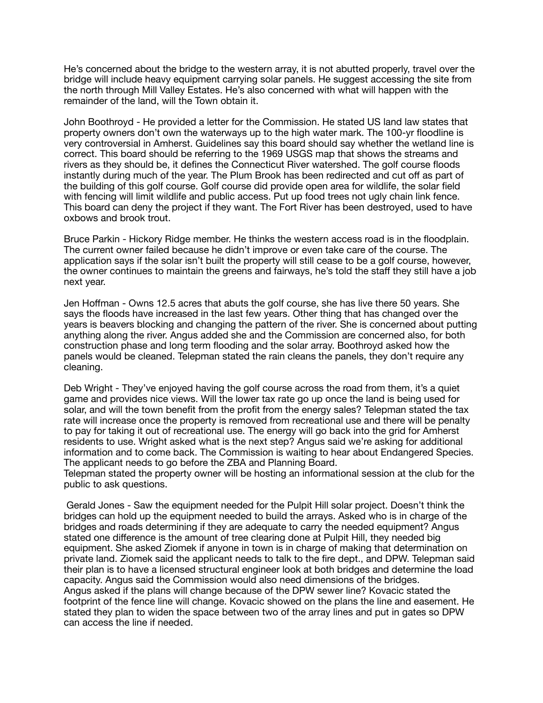He's concerned about the bridge to the western array, it is not abutted properly, travel over the bridge will include heavy equipment carrying solar panels. He suggest accessing the site from the north through Mill Valley Estates. He's also concerned with what will happen with the remainder of the land, will the Town obtain it.

John Boothroyd - He provided a letter for the Commission. He stated US land law states that property owners don't own the waterways up to the high water mark. The 100-yr floodline is very controversial in Amherst. Guidelines say this board should say whether the wetland line is correct. This board should be referring to the 1969 USGS map that shows the streams and rivers as they should be, it defines the Connecticut River watershed. The golf course floods instantly during much of the year. The Plum Brook has been redirected and cut off as part of the building of this golf course. Golf course did provide open area for wildlife, the solar field with fencing will limit wildlife and public access. Put up food trees not ugly chain link fence. This board can deny the project if they want. The Fort River has been destroyed, used to have oxbows and brook trout.

Bruce Parkin - Hickory Ridge member. He thinks the western access road is in the floodplain. The current owner failed because he didn't improve or even take care of the course. The application says if the solar isn't built the property will still cease to be a golf course, however, the owner continues to maintain the greens and fairways, he's told the staff they still have a job next year.

Jen Hoffman - Owns 12.5 acres that abuts the golf course, she has live there 50 years. She says the floods have increased in the last few years. Other thing that has changed over the years is beavers blocking and changing the pattern of the river. She is concerned about putting anything along the river. Angus added she and the Commission are concerned also, for both construction phase and long term flooding and the solar array. Boothroyd asked how the panels would be cleaned. Telepman stated the rain cleans the panels, they don't require any cleaning.

Deb Wright - They've enjoyed having the golf course across the road from them, it's a quiet game and provides nice views. Will the lower tax rate go up once the land is being used for solar, and will the town benefit from the profit from the energy sales? Telepman stated the tax rate will increase once the property is removed from recreational use and there will be penalty to pay for taking it out of recreational use. The energy will go back into the grid for Amherst residents to use. Wright asked what is the next step? Angus said we're asking for additional information and to come back. The Commission is waiting to hear about Endangered Species. The applicant needs to go before the ZBA and Planning Board.

Telepman stated the property owner will be hosting an informational session at the club for the public to ask questions.

 Gerald Jones - Saw the equipment needed for the Pulpit Hill solar project. Doesn't think the bridges can hold up the equipment needed to build the arrays. Asked who is in charge of the bridges and roads determining if they are adequate to carry the needed equipment? Angus stated one difference is the amount of tree clearing done at Pulpit Hill, they needed big equipment. She asked Ziomek if anyone in town is in charge of making that determination on private land. Ziomek said the applicant needs to talk to the fire dept., and DPW. Telepman said their plan is to have a licensed structural engineer look at both bridges and determine the load capacity. Angus said the Commission would also need dimensions of the bridges. Angus asked if the plans will change because of the DPW sewer line? Kovacic stated the footprint of the fence line will change. Kovacic showed on the plans the line and easement. He stated they plan to widen the space between two of the array lines and put in gates so DPW can access the line if needed.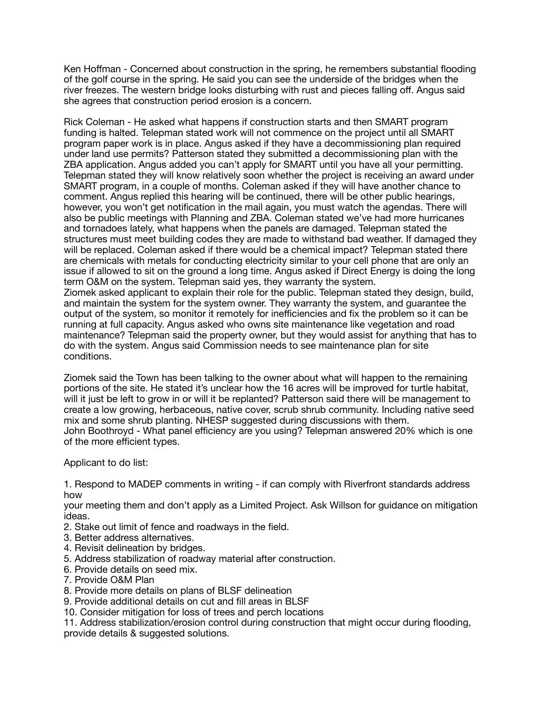Ken Hoffman - Concerned about construction in the spring, he remembers substantial flooding of the golf course in the spring. He said you can see the underside of the bridges when the river freezes. The western bridge looks disturbing with rust and pieces falling off. Angus said she agrees that construction period erosion is a concern.

Rick Coleman - He asked what happens if construction starts and then SMART program funding is halted. Telepman stated work will not commence on the project until all SMART program paper work is in place. Angus asked if they have a decommissioning plan required under land use permits? Patterson stated they submitted a decommissioning plan with the ZBA application. Angus added you can't apply for SMART until you have all your permitting. Telepman stated they will know relatively soon whether the project is receiving an award under SMART program, in a couple of months. Coleman asked if they will have another chance to comment. Angus replied this hearing will be continued, there will be other public hearings, however, you won't get notification in the mail again, you must watch the agendas. There will also be public meetings with Planning and ZBA. Coleman stated we've had more hurricanes and tornadoes lately, what happens when the panels are damaged. Telepman stated the structures must meet building codes they are made to withstand bad weather. If damaged they will be replaced. Coleman asked if there would be a chemical impact? Telepman stated there are chemicals with metals for conducting electricity similar to your cell phone that are only an issue if allowed to sit on the ground a long time. Angus asked if Direct Energy is doing the long term O&M on the system. Telepman said yes, they warranty the system. Ziomek asked applicant to explain their role for the public. Telepman stated they design, build, and maintain the system for the system owner. They warranty the system, and guarantee the output of the system, so monitor it remotely for inefficiencies and fix the problem so it can be running at full capacity. Angus asked who owns site maintenance like vegetation and road maintenance? Telepman said the property owner, but they would assist for anything that has to

do with the system. Angus said Commission needs to see maintenance plan for site conditions. Ziomek said the Town has been talking to the owner about what will happen to the remaining

portions of the site. He stated it's unclear how the 16 acres will be improved for turtle habitat, will it just be left to grow in or will it be replanted? Patterson said there will be management to create a low growing, herbaceous, native cover, scrub shrub community. Including native seed mix and some shrub planting. NHESP suggested during discussions with them. John Boothroyd - What panel efficiency are you using? Telepman answered 20% which is one of the more efficient types.

Applicant to do list:

1. Respond to MADEP comments in writing - if can comply with Riverfront standards address how

your meeting them and don't apply as a Limited Project. Ask Willson for guidance on mitigation ideas.

- 2. Stake out limit of fence and roadways in the field.
- 3. Better address alternatives.
- 4. Revisit delineation by bridges.
- 5. Address stabilization of roadway material after construction.
- 6. Provide details on seed mix.
- 7. Provide O&M Plan
- 8. Provide more details on plans of BLSF delineation
- 9. Provide additional details on cut and fill areas in BLSF
- 10. Consider mitigation for loss of trees and perch locations

11. Address stabilization/erosion control during construction that might occur during flooding, provide details & suggested solutions.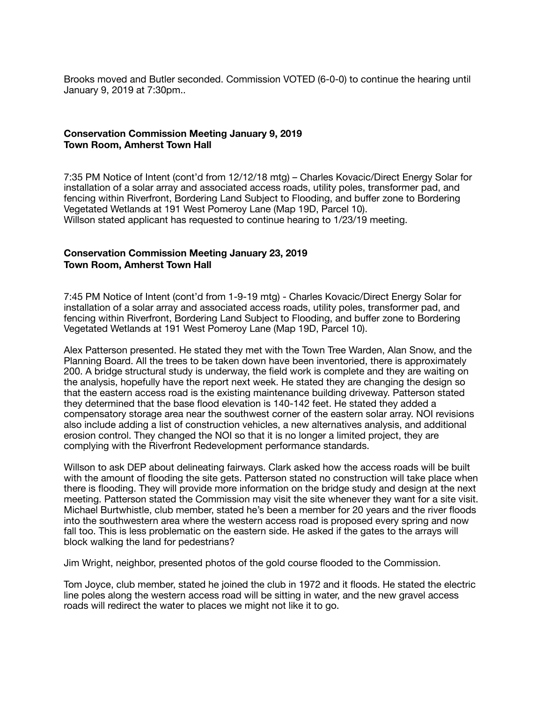Brooks moved and Butler seconded. Commission VOTED (6-0-0) to continue the hearing until January 9, 2019 at 7:30pm..

#### **Conservation Commission Meeting January 9, 2019 Town Room, Amherst Town Hall**

7:35 PM Notice of Intent (cont'd from 12/12/18 mtg) – Charles Kovacic/Direct Energy Solar for installation of a solar array and associated access roads, utility poles, transformer pad, and fencing within Riverfront, Bordering Land Subject to Flooding, and buffer zone to Bordering Vegetated Wetlands at 191 West Pomeroy Lane (Map 19D, Parcel 10). Willson stated applicant has requested to continue hearing to 1/23/19 meeting.

### **Conservation Commission Meeting January 23, 2019 Town Room, Amherst Town Hall**

7:45 PM Notice of Intent (cont'd from 1-9-19 mtg) - Charles Kovacic/Direct Energy Solar for installation of a solar array and associated access roads, utility poles, transformer pad, and fencing within Riverfront, Bordering Land Subject to Flooding, and buffer zone to Bordering Vegetated Wetlands at 191 West Pomeroy Lane (Map 19D, Parcel 10).

Alex Patterson presented. He stated they met with the Town Tree Warden, Alan Snow, and the Planning Board. All the trees to be taken down have been inventoried, there is approximately 200. A bridge structural study is underway, the field work is complete and they are waiting on the analysis, hopefully have the report next week. He stated they are changing the design so that the eastern access road is the existing maintenance building driveway. Patterson stated they determined that the base flood elevation is 140-142 feet. He stated they added a compensatory storage area near the southwest corner of the eastern solar array. NOI revisions also include adding a list of construction vehicles, a new alternatives analysis, and additional erosion control. They changed the NOI so that it is no longer a limited project, they are complying with the Riverfront Redevelopment performance standards.

Willson to ask DEP about delineating fairways. Clark asked how the access roads will be built with the amount of flooding the site gets. Patterson stated no construction will take place when there is flooding. They will provide more information on the bridge study and design at the next meeting. Patterson stated the Commission may visit the site whenever they want for a site visit. Michael Burtwhistle, club member, stated he's been a member for 20 years and the river floods into the southwestern area where the western access road is proposed every spring and now fall too. This is less problematic on the eastern side. He asked if the gates to the arrays will block walking the land for pedestrians?

Jim Wright, neighbor, presented photos of the gold course flooded to the Commission.

Tom Joyce, club member, stated he joined the club in 1972 and it floods. He stated the electric line poles along the western access road will be sitting in water, and the new gravel access roads will redirect the water to places we might not like it to go.